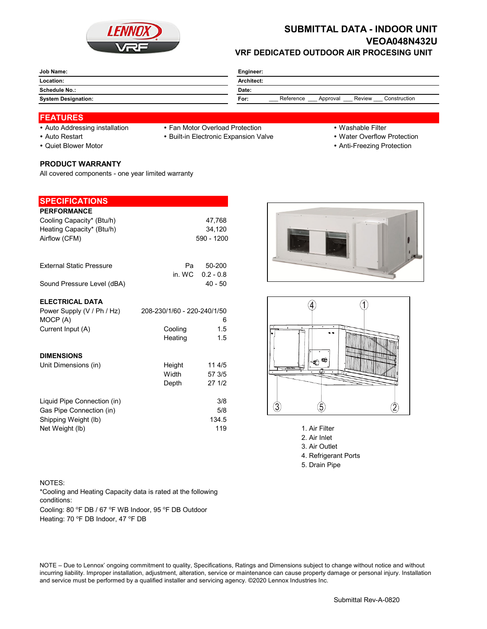

## **SUBMITTAL DATA - INDOOR UNIT VEOA048N432U VRF DEDICATED OUTDOOR AIR PROCESING UNIT**

| Job Name:                  | Engineer:                                               |  |  |
|----------------------------|---------------------------------------------------------|--|--|
| Location:                  | Architect:                                              |  |  |
| <b>Schedule No.:</b>       | Date:                                                   |  |  |
| <b>System Designation:</b> | Reference<br>Construction<br>Review<br>Approval<br>For: |  |  |

### **FEATURES**

- 
- 
- 

### **PRODUCT WARRANTY**

All covered components - one year limited warranty

| <b>SPECIFICATIONS</b>                  |                             |             |
|----------------------------------------|-----------------------------|-------------|
|                                        |                             |             |
| <b>PERFORMANCE</b>                     |                             |             |
| Cooling Capacity* (Btu/h)              |                             | 47,768      |
| Heating Capacity* (Btu/h)              |                             | 34,120      |
| Airflow (CFM)                          |                             | 590 - 1200  |
| <b>External Static Pressure</b>        | Pa                          | 50-200      |
|                                        | in. WC                      | $0.2 - 0.8$ |
| Sound Pressure Level (dBA)             |                             | $40 - 50$   |
| <b>ELECTRICAL DATA</b>                 |                             |             |
| Power Supply (V / Ph / Hz)<br>MOCP (A) | 208-230/1/60 - 220-240/1/50 | 6           |
| Current Input (A)                      | Cooling                     | 1.5         |
|                                        | Heating                     | 1.5         |
| <b>DIMENSIONS</b>                      |                             |             |
| Unit Dimensions (in)                   | Height                      | 11 4/5      |
|                                        | Width                       | 57 3/5      |
|                                        | Depth                       | 27 1/2      |
| Liquid Pipe Connection (in)            |                             | 3/8         |
| Gas Pipe Connection (in)               |                             | 5/8         |
| Shipping Weight (lb)                   |                             | 134.5       |

- Auto Addressing installation Fan Motor Overload Protection Washable Filter
	-
- 
- Auto Restart **Built-in Electronic Expansion Valve Water Overflow Protection**
- Quiet Blower Motor **Anti-Freezing Protection Anti-Freezing Protection**





- Net Weight (lb) 119 1. Air Filter
	- 2. Air Inlet
	- 3. Air Outlet
	- 4. Refrigerant Ports
	- 5. Drain Pipe

#### NOTES:

Cooling: 80 °F DB / 67 °F WB Indoor, 95 °F DB Outdoor \*Cooling and Heating Capacity data is rated at the following conditions:

Heating: 70 °F DB Indoor, 47 °F DB

NOTE – Due to Lennox' ongoing commitment to quality, Specifications, Ratings and Dimensions subject to change without notice and without incurring liability. Improper installation, adjustment, alteration, service or maintenance can cause property damage or personal injury. Installation and service must be performed by a qualified installer and servicing agency. ©2020 Lennox Industries Inc.